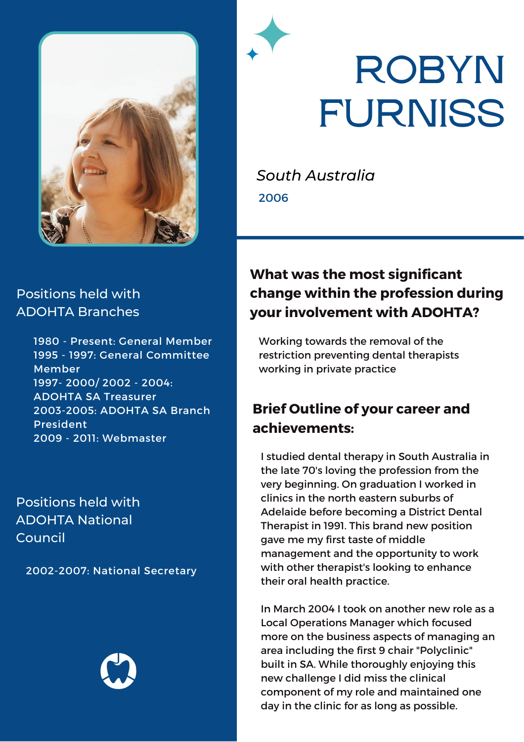

# **ROBYN FURNISS**

*South Australia* 2006

#### Positions held with ADOHTA Branches

1980 - Present: General Member 1995 - 1997: General Committee Member 1997- 2000/ 2002 - 2004: ADOHTA SA Treasurer 2003-2005: ADOHTA SA Branch President 2009 - 2011: Webmaster

Positions held with ADOHTA National Council

2002-2007: National Secretary



### **What was the most significant change within the profession during your involvement with ADOHTA?**

Working towards the removal of the restriction preventing dental therapists working in private practice

### **Brief Outline of your career and achievements:**

I studied dental therapy in South Australia in the late 70's loving the profession from the very beginning. On graduation I worked in clinics in the north eastern suburbs of Adelaide before becoming a District Dental Therapist in 1991. This brand new position gave me my first taste of middle management and the opportunity to work with other therapist's looking to enhance their oral health practice.

In March 2004 I took on another new role as a Local Operations Manager which focused more on the business aspects of managing an area including the first 9 chair "Polyclinic" built in SA. While thoroughly enjoying this new challenge I did miss the clinical component of my role and maintained one day in the clinic for as long as possible.